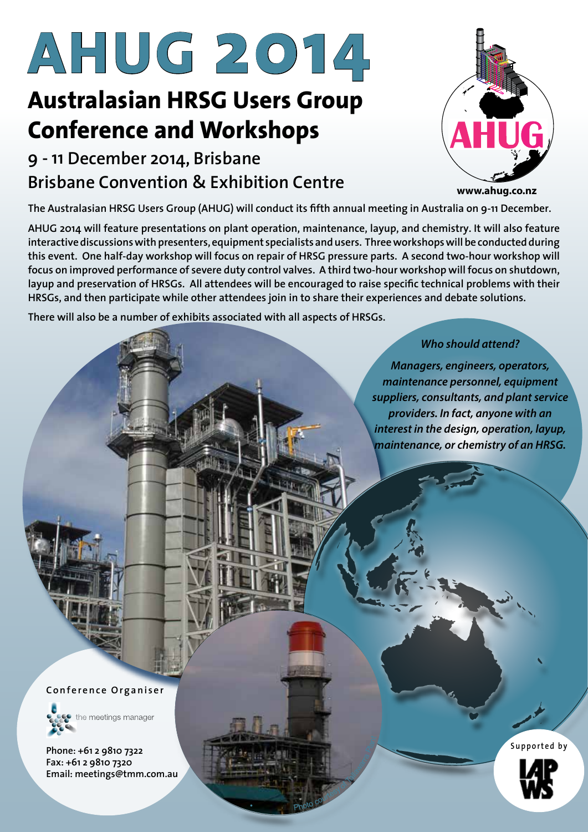# **AHUG 2014**

# **Australasian HRSG Users Group Conference and Workshops**

# **9 - 11 December 2014, Brisbane Brisbane Convention & Exhibition Centre www.ahug.co.nz**



**The Australasian HRSG Users Group (AHUG) will conduct its fifth annual meeting in Australia on 9-11 December.** 

**AHUG 2014 will feature presentations on plant operation, maintenance, layup, and chemistry. It will also feature interactive discussions with presenters, equipment specialists and users. Three workshops will be conducted during this event. One half-day workshop will focus on repair of HRSG pressure parts. A second two-hour workshop will focus on improved performance of severe duty control valves. A third two-hour workshop will focus on shutdown, layup and preservation of HRSGs. All attendees will be encouraged to raise specific technical problems with their HRSGs, and then participate while other attendees join in to share their experiences and debate solutions.**

**There will also be a number of exhibits associated with all aspects of HRSGs.**

•

Photo courtesy of Tallace

Plant

*Who should attend?* 

*Managers, engineers, operators, maintenance personnel, equipment suppliers, consultants, and plant service providers. In fact, anyone with an interest in the design, operation, layup, maintenance, or chemistry of an HRSG.*

**Conference Organiser**



**Phone: +61 2 9810 7322 Fax: +61 2 9810 7320 Email: meetings@tmm.com.au** **Supported by**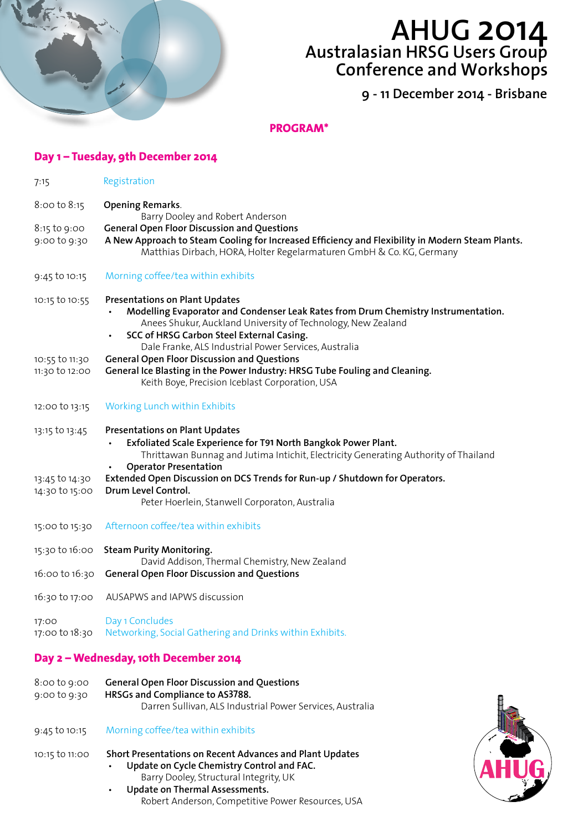

# **AHUG 2014 Australasian HRSG Users Group Conference and Workshops**

**9 - 11 December 2014 - Brisbane**

**PROGRAM\***

| Day 1 – Tuesday, 9th December 2014 |                                                                                                                                                                                                                                                                                                   |  |  |  |
|------------------------------------|---------------------------------------------------------------------------------------------------------------------------------------------------------------------------------------------------------------------------------------------------------------------------------------------------|--|--|--|
| 7:15                               | Registration                                                                                                                                                                                                                                                                                      |  |  |  |
| 8:00 to 8:15                       | <b>Opening Remarks.</b><br>Barry Dooley and Robert Anderson                                                                                                                                                                                                                                       |  |  |  |
| 8:15 to 9:00<br>9:00 to 9:30       | <b>General Open Floor Discussion and Questions</b><br>A New Approach to Steam Cooling for Increased Efficiency and Flexibility in Modern Steam Plants.<br>Matthias Dirbach, HORA, Holter Regelarmaturen GmbH & Co. KG, Germany                                                                    |  |  |  |
| 9:45 to 10:15                      | Morning coffee/tea within exhibits                                                                                                                                                                                                                                                                |  |  |  |
| 10:15 to 10:55                     | <b>Presentations on Plant Updates</b><br>Modelling Evaporator and Condenser Leak Rates from Drum Chemistry Instrumentation.<br>Anees Shukur, Auckland University of Technology, New Zealand<br>SCC of HRSG Carbon Steel External Casing.<br>Dale Franke, ALS Industrial Power Services, Australia |  |  |  |
| 10:55 to 11:30<br>11:30 to 12:00   | <b>General Open Floor Discussion and Questions</b><br>General Ice Blasting in the Power Industry: HRSG Tube Fouling and Cleaning.<br>Keith Boye, Precision Iceblast Corporation, USA                                                                                                              |  |  |  |
| 12:00 to 13:15                     | Working Lunch within Exhibits                                                                                                                                                                                                                                                                     |  |  |  |
| 13:15 to 13:45                     | <b>Presentations on Plant Updates</b><br>Exfoliated Scale Experience for T91 North Bangkok Power Plant.<br>Thrittawan Bunnag and Jutima Intichit, Electricity Generating Authority of Thailand                                                                                                    |  |  |  |
| 13:45 to 14:30<br>14:30 to 15:00   | <b>Operator Presentation</b><br>Extended Open Discussion on DCS Trends for Run-up / Shutdown for Operators.<br>Drum Level Control.<br>Peter Hoerlein, Stanwell Corporaton, Australia                                                                                                              |  |  |  |
| 15:00 to 15:30                     | Afternoon coffee/tea within exhibits                                                                                                                                                                                                                                                              |  |  |  |
| 15:30 to 16:00                     | <b>Steam Purity Monitoring.</b><br>David Addison, Thermal Chemistry, New Zealand                                                                                                                                                                                                                  |  |  |  |
| 16:00 to 16:30                     | <b>General Open Floor Discussion and Questions</b>                                                                                                                                                                                                                                                |  |  |  |
|                                    | 16:30 to 17:00 AUSAPWS and IAPWS discussion                                                                                                                                                                                                                                                       |  |  |  |
| 17:00<br>17:00 to 18:30            | Day 1 Concludes<br>Networking, Social Gathering and Drinks within Exhibits.                                                                                                                                                                                                                       |  |  |  |
|                                    | Day 2 - Wednesday, 10th December 2014                                                                                                                                                                                                                                                             |  |  |  |
| 8:00 to 9:00<br>9:00 to 9:30       | <b>General Open Floor Discussion and Questions</b><br>HRSGs and Compliance to AS3788.<br>Darren Sullivan, ALS Industrial Power Services, Australia                                                                                                                                                |  |  |  |
| 9:45 to 10:15                      | Morning coffee/tea within exhibits                                                                                                                                                                                                                                                                |  |  |  |
| 10:15 to 11:00                     | Short Presentations on Recent Advances and Plant Updates<br>Update on Cycle Chemistry Control and FAC.<br>Barry Dooley, Structural Integrity, UK<br>Update on Thermal Assessments.<br>Robert Anderson, Competitive Power Resources, USA                                                           |  |  |  |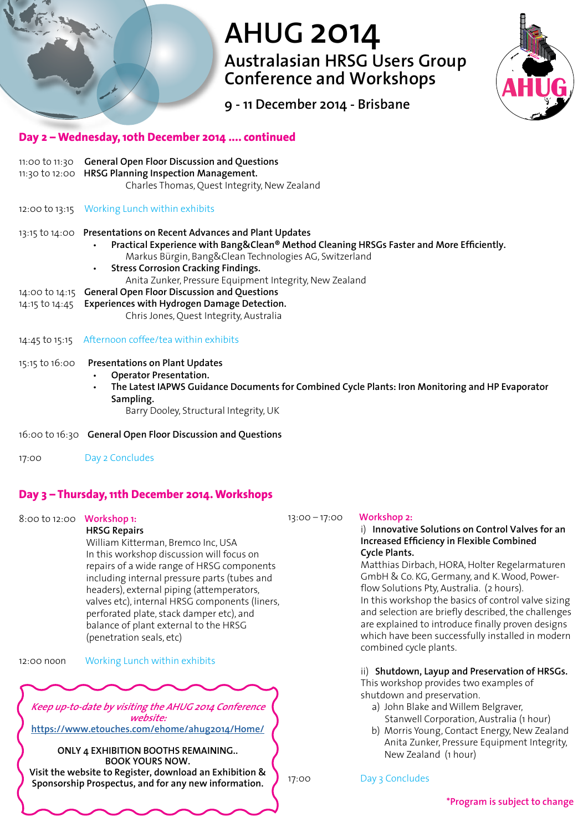# **AHUG 2014**

**Australasian HRSG Users Group Conference and Workshops**



**9 - 11 December 2014 - Brisbane**

#### **Day 2 – Wednesday, 10th December 2014 .... continued**

|                | 11:00 to 11:30 General Open Floor Discussion and Questions<br>11:30 to 12:00 HRSG Planning Inspection Management.<br>Charles Thomas, Quest Integrity, New Zealand                                                                                                                                                                                          |
|----------------|------------------------------------------------------------------------------------------------------------------------------------------------------------------------------------------------------------------------------------------------------------------------------------------------------------------------------------------------------------|
|                | 12:00 to 13:15 Working Lunch within exhibits                                                                                                                                                                                                                                                                                                               |
|                | 13:15 to 14:00 Presentations on Recent Advances and Plant Updates<br>Practical Experience with Bang&Clean® Method Cleaning HRSGs Faster and More Efficiently.<br>$\bullet$<br>Markus Bürgin, Bang&Clean Technologies AG, Switzerland<br><b>Stress Corrosion Cracking Findings.</b><br>$\bullet$<br>Anita Zunker, Pressure Equipment Integrity, New Zealand |
|                | 14:00 to 14:15 General Open Floor Discussion and Questions                                                                                                                                                                                                                                                                                                 |
|                | 14:15 to 14:45 Experiences with Hydrogen Damage Detection.<br>Chris Jones, Quest Integrity, Australia                                                                                                                                                                                                                                                      |
| 14:45 to 15:15 | Afternoon coffee/tea within exhibits                                                                                                                                                                                                                                                                                                                       |
| 15:15 to 16:00 | <b>Presentations on Plant Updates</b><br><b>Operator Presentation.</b><br>$\bullet$<br>The Latest IAPWS Guidance Documents for Combined Cycle Plants: Iron Monitoring and HP Evaporator<br>$\bullet$<br>Sampling.<br>Barry Dooley, Structural Integrity, UK                                                                                                |

- 16:00 to 16:30 **General Open Floor Discussion and Questions**
- 17:00 Day 2 Concludes

### **Day 3 – Thursday, 11th December 2014. Workshops**

#### 8:00 to 12:00 **Workshop 1:**

**HRSG Repairs**  William Kitterman, Bremco Inc, USA In this workshop discussion will focus on repairs of a wide range of HRSG components including internal pressure parts (tubes and headers), external piping (attemperators, valves etc), internal HRSG components (liners, perforated plate, stack damper etc), and balance of plant external to the HRSG (penetration seals, etc)

12:00 noon Working Lunch within exhibits

**Keep up-to-date by visiting the AHUG 2014 Conference website: https://www.etouches.com/ehome/ahug2014/Home/**

**ONLY 4 EXHIBITION BOOTHS REMAINING.. BOOK YOURS NOW.**

**Visit the website to Register, download an Exhibition & Sponsorship Prospectus, and for any new information.**

#### 13:00 – 17:00 **Workshop 2:**

#### i) **Innovative Solutions on Control Valves for an Increased Efficiency in Flexible Combined Cycle Plants.**

Matthias Dirbach, HORA, Holter Regelarmaturen GmbH & Co. KG, Germany, and K. Wood, Powerflow Solutions Pty, Australia. (2 hours). In this workshop the basics of control valve sizing and selection are briefly described, the challenges are explained to introduce finally proven designs which have been successfully installed in modern combined cycle plants.

ii) **Shutdown, Layup and Preservation of HRSGs.**

This workshop provides two examples of shutdown and preservation.

- a) John Blake and Willem Belgraver, Stanwell Corporation, Australia (1 hour)
- b) Morris Young, Contact Energy, New Zealand Anita Zunker, Pressure Equipment Integrity, New Zealand (1 hour)

17:00 Day 3 Concludes

**\*Program is subject to change**